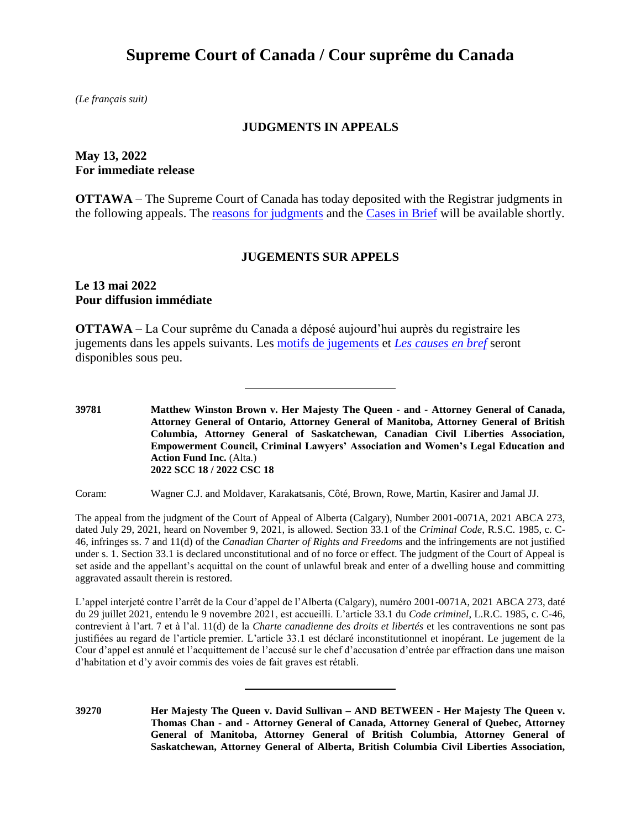# **Supreme Court of Canada / Cour suprême du Canada**

*(Le français suit)*

## **JUDGMENTS IN APPEALS**

# **May 13, 2022 For immediate release**

**OTTAWA** – The Supreme Court of Canada has today deposited with the Registrar judgments in the following appeals. The [reasons for judgments](https://decisions.scc-csc.ca/scc-csc/scc-csc/en/nav_date.do) and the Cases [in Brief](https://www.scc-csc.ca/case-dossier/cb/index-eng.aspx) will be available shortly.

#### **JUGEMENTS SUR APPELS**

## **Le 13 mai 2022 Pour diffusion immédiate**

**OTTAWA** – La Cour suprême du Canada a déposé aujourd'hui auprès du registraire les jugements dans les appels suivants. Les [motifs de jugements](https://decisions.scc-csc.ca/scc-csc/scc-csc/fr/nav_date.do) et *Les causes [en bref](https://www.scc-csc.ca/case-dossier/cb/index-fra.aspx)* seront disponibles sous peu.

**39781 Matthew Winston Brown v. Her Majesty The Queen - and - Attorney General of Canada, Attorney General of Ontario, Attorney General of Manitoba, Attorney General of British Columbia, Attorney General of Saskatchewan, Canadian Civil Liberties Association, Empowerment Council, Criminal Lawyers' Association and Women's Legal Education and Action Fund Inc.** (Alta.) **2022 SCC 18 / 2022 CSC 18**

Coram: Wagner C.J. and Moldaver, Karakatsanis, Côté, Brown, Rowe, Martin, Kasirer and Jamal JJ.

The appeal from the judgment of the Court of Appeal of Alberta (Calgary), Number 2001-0071A, 2021 ABCA 273, dated July 29, 2021, heard on November 9, 2021, is allowed. Section 33.1 of the *Criminal Code*, R.S.C. 1985, c. C-46, infringes ss. 7 and 11(d) of the *Canadian Charter of Rights and Freedoms* and the infringements are not justified under s. 1. Section 33.1 is declared unconstitutional and of no force or effect. The judgment of the Court of Appeal is set aside and the appellant's acquittal on the count of unlawful break and enter of a dwelling house and committing aggravated assault therein is restored.

L'appel interjeté contre l'arrêt de la Cour d'appel de l'Alberta (Calgary), numéro 2001-0071A, 2021 ABCA 273, daté du 29 juillet 2021, entendu le 9 novembre 2021, est accueilli. L'article 33.1 du *Code criminel*, L.R.C. 1985, c. C-46, contrevient à l'art. 7 et à l'al. 11(d) de la *Charte canadienne des droits et libertés* et les contraventions ne sont pas justifiées au regard de l'article premier. L'article 33.1 est déclaré inconstitutionnel et inopérant. Le jugement de la Cour d'appel est annulé et l'acquittement de l'accusé sur le chef d'accusation d'entrée par effraction dans une maison d'habitation et d'y avoir commis des voies de fait graves est rétabli.

**39270 Her Majesty The Queen v. David Sullivan – AND BETWEEN - Her Majesty The Queen v. Thomas Chan - and - Attorney General of Canada, Attorney General of Quebec, Attorney General of Manitoba, Attorney General of British Columbia, Attorney General of Saskatchewan, Attorney General of Alberta, British Columbia Civil Liberties Association,**